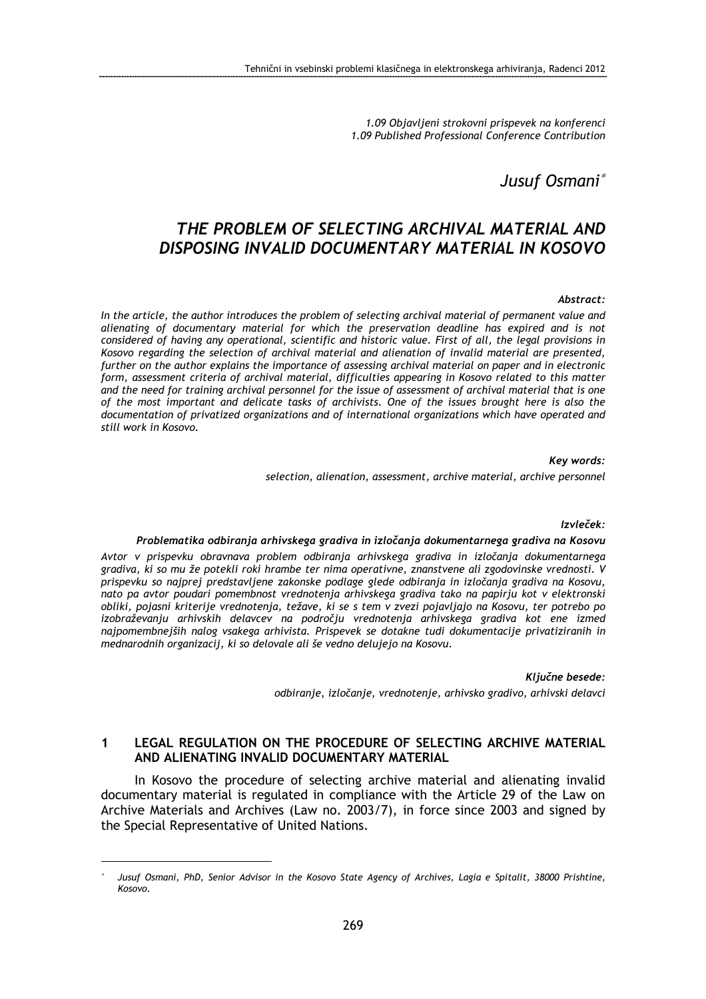1.09 Objavljeni strokovni prispevek na konferenci 1.09 Published Professional Conference Contribution

Jusuf Osmani<sup>∗</sup>

# THE PROBLEM OF SELECTING ARCHIVAL MATERIAL AND DISPOSING INVALID DOCUMENTARY MATERIAL IN KOSOVO

#### Abstract:

In the article, the author introduces the problem of selecting archival material of permanent value and alienating of documentary material for which the preservation deadline has expired and is not considered of having any operational, scientific and historic value. First of all, the legal provisions in Kosovo regarding the selection of archival material and alienation of invalid material are presented, further on the author explains the importance of assessing archival material on paper and in electronic form, assessment criteria of archival material, difficulties appearing in Kosovo related to this matter and the need for training archival personnel for the issue of assessment of archival material that is one of the most important and delicate tasks of archivists. One of the issues brought here is also the documentation of privatized organizations and of international organizations which have operated and still work in Kosovo.

Key words:

selection, alienation, assessment, archive material, archive personnel

#### Izvleček:

#### Problematika odbiranja arhivskega gradiva in izločanja dokumentarnega gradiva na Kosovu

Avtor v prispevku obravnava problem odbiranja arhivskega gradiva in izločanja dokumentarnega gradiva, ki so mu že potekli roki hrambe ter nima operativne, znanstvene ali zgodovinske vrednosti. V prispevku so najprej predstavljene zakonske podlage glede odbiranja in izločanja gradiva na Kosovu, nato pa avtor poudari pomembnost vrednotenja arhivskega gradiva tako na papirju kot v elektronski obliki, pojasni kriterije vrednotenja, težave, ki se s tem v zvezi pojavljajo na Kosovu, ter potrebo po izobraževanju arhivskih delavcev na področju vrednotenja arhivskega gradiva kot ene izmed najpomembnejših nalog vsakega arhivista. Prispevek se dotakne tudi dokumentacije privatiziranih in mednarodnih organizacij, ki so delovale ali še vedno delujejo na Kosovu.

> Ključne besede: odbiranje, izločanje, vrednotenje, arhivsko gradivo, arhivski delavci

### 1 LEGAL REGULATION ON THE PROCEDURE OF SELECTING ARCHIVE MATERIAL AND ALIENATING INVALID DOCUMENTARY MATERIAL

In Kosovo the procedure of selecting archive material and alienating invalid documentary material is regulated in compliance with the Article 29 of the Law on Archive Materials and Archives (Law no. 2003/7), in force since 2003 and signed by the Special Representative of United Nations.

 $\overline{a}$ 

<sup>∗</sup> Jusuf Osmani, PhD, Senior Advisor in the Kosovo State Agency of Archives, Lagia e Spitalit, 38000 Prishtine, Kosovo.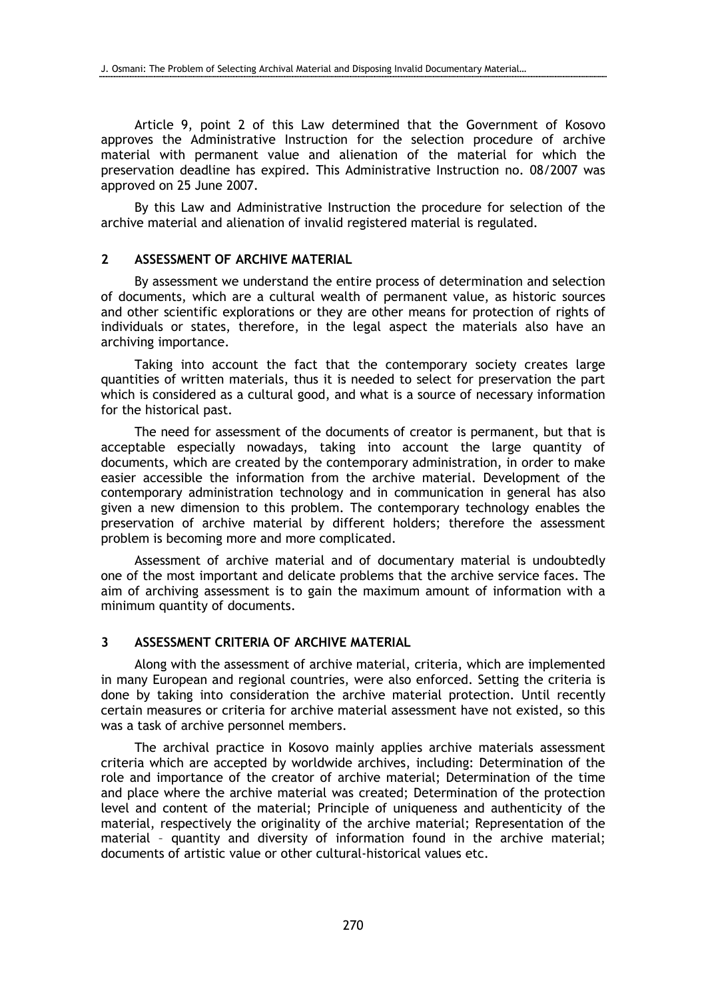Article 9, point 2 of this Law determined that the Government of Kosovo approves the Administrative Instruction for the selection procedure of archive material with permanent value and alienation of the material for which the preservation deadline has expired. This Administrative Instruction no. 08/2007 was approved on 25 June 2007.

By this Law and Administrative Instruction the procedure for selection of the archive material and alienation of invalid registered material is regulated.

### 2 ASSESSMENT OF ARCHIVE MATERIAL

By assessment we understand the entire process of determination and selection of documents, which are a cultural wealth of permanent value, as historic sources and other scientific explorations or they are other means for protection of rights of individuals or states, therefore, in the legal aspect the materials also have an archiving importance.

Taking into account the fact that the contemporary society creates large quantities of written materials, thus it is needed to select for preservation the part which is considered as a cultural good, and what is a source of necessary information for the historical past.

The need for assessment of the documents of creator is permanent, but that is acceptable especially nowadays, taking into account the large quantity of documents, which are created by the contemporary administration, in order to make easier accessible the information from the archive material. Development of the contemporary administration technology and in communication in general has also given a new dimension to this problem. The contemporary technology enables the preservation of archive material by different holders; therefore the assessment problem is becoming more and more complicated.

Assessment of archive material and of documentary material is undoubtedly one of the most important and delicate problems that the archive service faces. The aim of archiving assessment is to gain the maximum amount of information with a minimum quantity of documents.

### 3 ASSESSMENT CRITERIA OF ARCHIVE MATERIAL

Along with the assessment of archive material, criteria, which are implemented in many European and regional countries, were also enforced. Setting the criteria is done by taking into consideration the archive material protection. Until recently certain measures or criteria for archive material assessment have not existed, so this was a task of archive personnel members.

The archival practice in Kosovo mainly applies archive materials assessment criteria which are accepted by worldwide archives, including: Determination of the role and importance of the creator of archive material; Determination of the time and place where the archive material was created; Determination of the protection level and content of the material; Principle of uniqueness and authenticity of the material, respectively the originality of the archive material; Representation of the material – quantity and diversity of information found in the archive material; documents of artistic value or other cultural-historical values etc.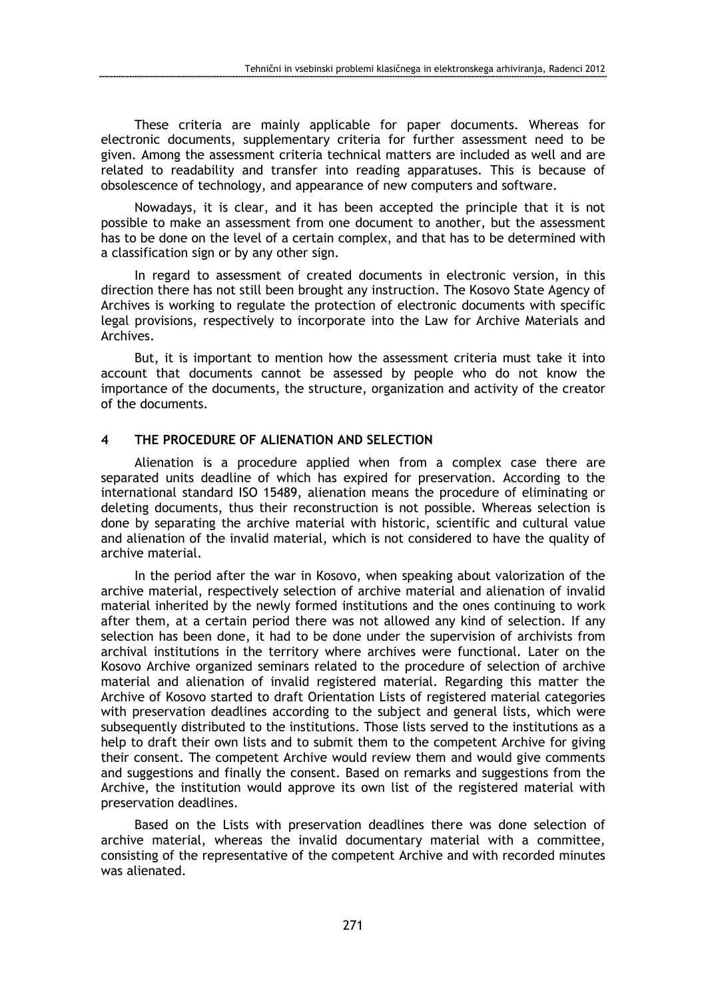These criteria are mainly applicable for paper documents. Whereas for electronic documents, supplementary criteria for further assessment need to be given. Among the assessment criteria technical matters are included as well and are related to readability and transfer into reading apparatuses. This is because of obsolescence of technology, and appearance of new computers and software.

Nowadays, it is clear, and it has been accepted the principle that it is not possible to make an assessment from one document to another, but the assessment has to be done on the level of a certain complex, and that has to be determined with a classification sign or by any other sign.

In regard to assessment of created documents in electronic version, in this direction there has not still been brought any instruction. The Kosovo State Agency of Archives is working to regulate the protection of electronic documents with specific legal provisions, respectively to incorporate into the Law for Archive Materials and Archives.

But, it is important to mention how the assessment criteria must take it into account that documents cannot be assessed by people who do not know the importance of the documents, the structure, organization and activity of the creator of the documents.

# 4 THE PROCEDURE OF ALIENATION AND SELECTION

Alienation is a procedure applied when from a complex case there are separated units deadline of which has expired for preservation. According to the international standard ISO 15489, alienation means the procedure of eliminating or deleting documents, thus their reconstruction is not possible. Whereas selection is done by separating the archive material with historic, scientific and cultural value and alienation of the invalid material, which is not considered to have the quality of archive material.

In the period after the war in Kosovo, when speaking about valorization of the archive material, respectively selection of archive material and alienation of invalid material inherited by the newly formed institutions and the ones continuing to work after them, at a certain period there was not allowed any kind of selection. If any selection has been done, it had to be done under the supervision of archivists from archival institutions in the territory where archives were functional. Later on the Kosovo Archive organized seminars related to the procedure of selection of archive material and alienation of invalid registered material. Regarding this matter the Archive of Kosovo started to draft Orientation Lists of registered material categories with preservation deadlines according to the subject and general lists, which were subsequently distributed to the institutions. Those lists served to the institutions as a help to draft their own lists and to submit them to the competent Archive for giving their consent. The competent Archive would review them and would give comments and suggestions and finally the consent. Based on remarks and suggestions from the Archive, the institution would approve its own list of the registered material with preservation deadlines.

Based on the Lists with preservation deadlines there was done selection of archive material, whereas the invalid documentary material with a committee, consisting of the representative of the competent Archive and with recorded minutes was alienated.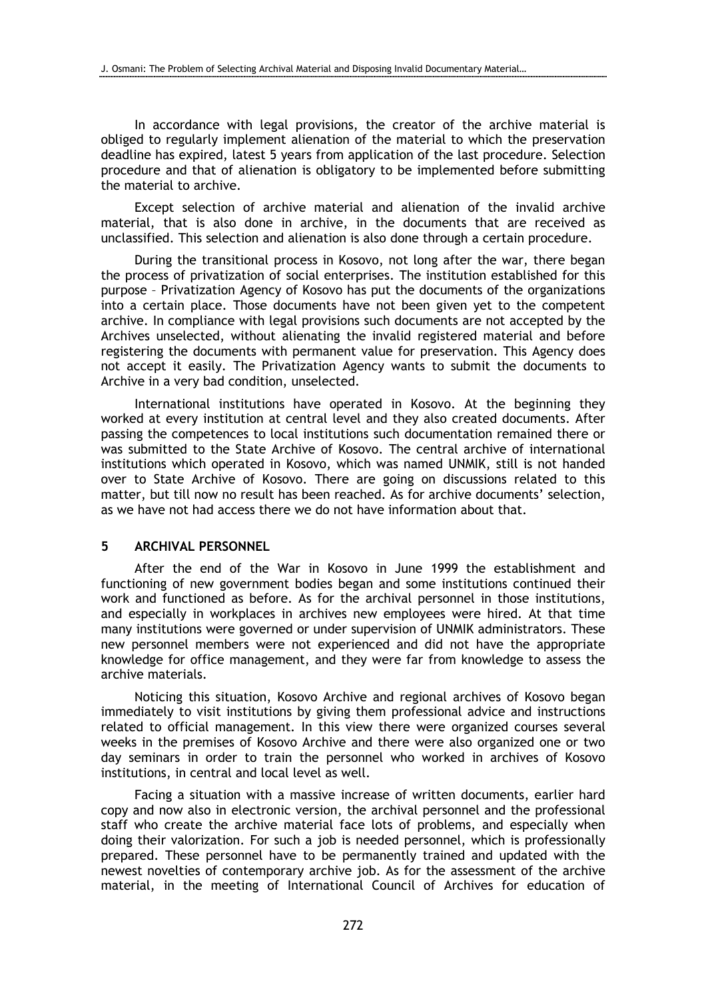In accordance with legal provisions, the creator of the archive material is obliged to regularly implement alienation of the material to which the preservation deadline has expired, latest 5 years from application of the last procedure. Selection procedure and that of alienation is obligatory to be implemented before submitting the material to archive.

Except selection of archive material and alienation of the invalid archive material, that is also done in archive, in the documents that are received as unclassified. This selection and alienation is also done through a certain procedure.

During the transitional process in Kosovo, not long after the war, there began the process of privatization of social enterprises. The institution established for this purpose – Privatization Agency of Kosovo has put the documents of the organizations into a certain place. Those documents have not been given yet to the competent archive. In compliance with legal provisions such documents are not accepted by the Archives unselected, without alienating the invalid registered material and before registering the documents with permanent value for preservation. This Agency does not accept it easily. The Privatization Agency wants to submit the documents to Archive in a very bad condition, unselected.

International institutions have operated in Kosovo. At the beginning they worked at every institution at central level and they also created documents. After passing the competences to local institutions such documentation remained there or was submitted to the State Archive of Kosovo. The central archive of international institutions which operated in Kosovo, which was named UNMIK, still is not handed over to State Archive of Kosovo. There are going on discussions related to this matter, but till now no result has been reached. As for archive documents' selection, as we have not had access there we do not have information about that.

### 5 ARCHIVAL PERSONNEL

After the end of the War in Kosovo in June 1999 the establishment and functioning of new government bodies began and some institutions continued their work and functioned as before. As for the archival personnel in those institutions, and especially in workplaces in archives new employees were hired. At that time many institutions were governed or under supervision of UNMIK administrators. These new personnel members were not experienced and did not have the appropriate knowledge for office management, and they were far from knowledge to assess the archive materials.

Noticing this situation, Kosovo Archive and regional archives of Kosovo began immediately to visit institutions by giving them professional advice and instructions related to official management. In this view there were organized courses several weeks in the premises of Kosovo Archive and there were also organized one or two day seminars in order to train the personnel who worked in archives of Kosovo institutions, in central and local level as well.

Facing a situation with a massive increase of written documents, earlier hard copy and now also in electronic version, the archival personnel and the professional staff who create the archive material face lots of problems, and especially when doing their valorization. For such a job is needed personnel, which is professionally prepared. These personnel have to be permanently trained and updated with the newest novelties of contemporary archive job. As for the assessment of the archive material, in the meeting of International Council of Archives for education of